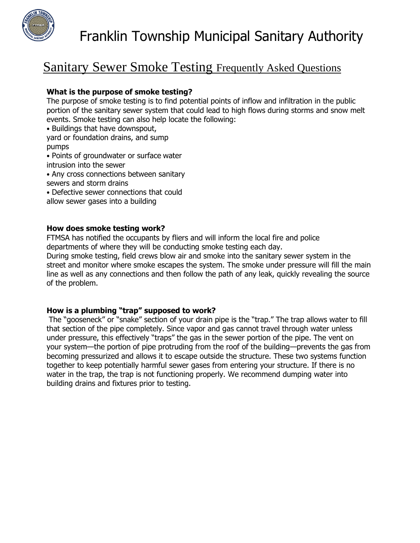

# Sanitary Sewer Smoke Testing Frequently Asked Questions

### **What is the purpose of smoke testing?**

The purpose of smoke testing is to find potential points of inflow and infiltration in the public portion of the sanitary sewer system that could lead to high flows during storms and snow melt events. Smoke testing can also help locate the following:

- Buildings that have downspout,
- yard or foundation drains, and sump pumps
- Points of groundwater or surface water
- intrusion into the sewer
- Any cross connections between sanitary sewers and storm drains
- Defective sewer connections that could
- allow sewer gases into a building

#### **How does smoke testing work?**

FTMSA has notified the occupants by fliers and will inform the local fire and police departments of where they will be conducting smoke testing each day.

During smoke testing, field crews blow air and smoke into the sanitary sewer system in the street and monitor where smoke escapes the system. The smoke under pressure will fill the main line as well as any connections and then follow the path of any leak, quickly revealing the source of the problem.

## **How is a plumbing "trap" supposed to work?**

The "gooseneck" or "snake" section of your drain pipe is the "trap." The trap allows water to fill that section of the pipe completely. Since vapor and gas cannot travel through water unless under pressure, this effectively "traps" the gas in the sewer portion of the pipe. The vent on your system—the portion of pipe protruding from the roof of the building—prevents the gas from becoming pressurized and allows it to escape outside the structure. These two systems function together to keep potentially harmful sewer gases from entering your structure. If there is no water in the trap, the trap is not functioning properly. We recommend dumping water into building drains and fixtures prior to testing.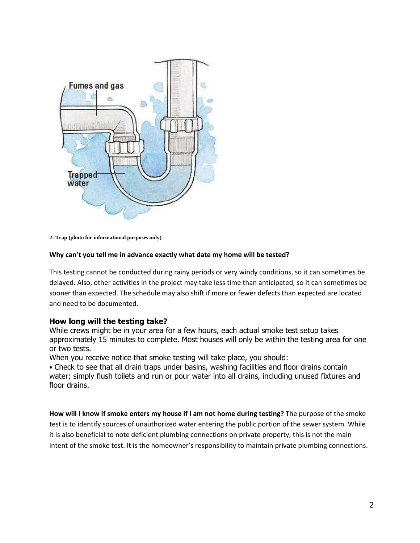

**2: Trap (photo for informational purposes only)**

#### **Why can't you tell me in advance exactly what date my home will be tested?**

This testing cannot be conducted during rainy periods or very windy conditions, so it can sometimes be delayed. Also, other activities in the project may take less time than anticipated, so it can sometimes be sooner than expected. The schedule may also shift if more or fewer defects than expected are located and need to be documented.

#### **How long will the testing take?**

While crews might be in your area for a few hours, each actual smoke test setup takes approximately 15 minutes to complete. Most houses will only be within the testing area for one or two tests.

When you receive notice that smoke testing will take place, you should:

• Check to see that all drain traps under basins, washing facilities and floor drains contain water; simply flush toilets and run or pour water into all drains, including unused fixtures and floor drains.

**How will I know if smoke enters my house if I am not home during testing?** The purpose of the smoke test is to identify sources of unauthorized water entering the public portion of the sewer system. While it is also beneficial to note deficient plumbing connections on private property, this is not the main intent of the smoke test. It is the homeowner's responsibility to maintain private plumbing connections.